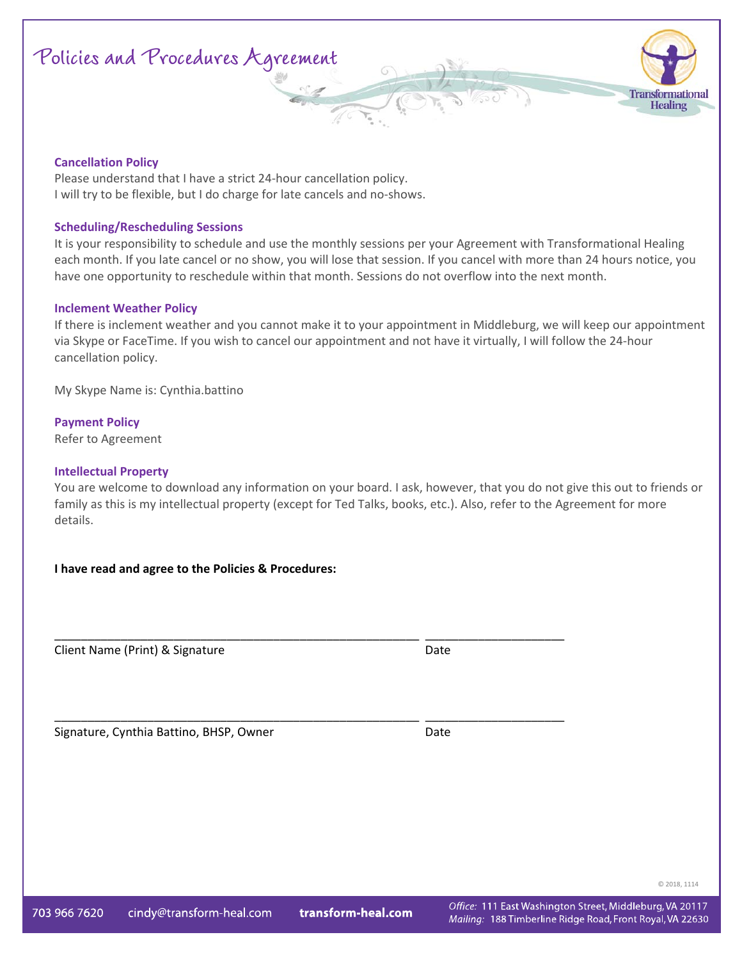# **Policies and Procedures Agreement**

# **Cancellation Policy**

Please understand that I have a strict 24‐hour cancellation policy. I will try to be flexible, but I do charge for late cancels and no-shows.

#### **Scheduling/Rescheduling Sessions**

It is your responsibility to schedule and use the monthly sessions per your Agreement with Transformational Healing each month. If you late cancel or no show, you will lose that session. If you cancel with more than 24 hours notice, you have one opportunity to reschedule within that month. Sessions do not overflow into the next month.

#### **Inclement Weather Policy**

If there is inclement weather and you cannot make it to your appointment in Middleburg, we will keep our appointment via Skype or FaceTime. If you wish to cancel our appointment and not have it virtually, I will follow the 24‐hour cancellation policy.

My Skype Name is: Cynthia.battino

**Payment Policy**  Refer to Agreement

# **Intellectual Property**

You are welcome to download any information on your board. I ask, however, that you do not give this out to friends or family as this is my intellectual property (except for Ted Talks, books, etc.). Also, refer to the Agreement for more details.

\_\_\_\_\_\_\_\_\_\_\_\_\_\_\_\_\_\_\_\_\_\_\_\_\_\_\_\_\_\_\_\_\_\_\_\_\_\_\_\_\_\_\_\_\_\_\_\_\_\_\_\_\_\_\_ \_\_\_\_\_\_\_\_\_\_\_\_\_\_\_\_\_\_\_\_\_

\_\_\_\_\_\_\_\_\_\_\_\_\_\_\_\_\_\_\_\_\_\_\_\_\_\_\_\_\_\_\_\_\_\_\_\_\_\_\_\_\_\_\_\_\_\_\_\_\_\_\_\_\_\_\_ \_\_\_\_\_\_\_\_\_\_\_\_\_\_\_\_\_\_\_\_\_

# **I have read and agree to the Policies & Procedures:**

Client Name (Print) & Signature **Date** Date

Signature, Cynthia Battino, BHSP, Owner **Date** Date

© 2018, 1114

Transformational **Healing**